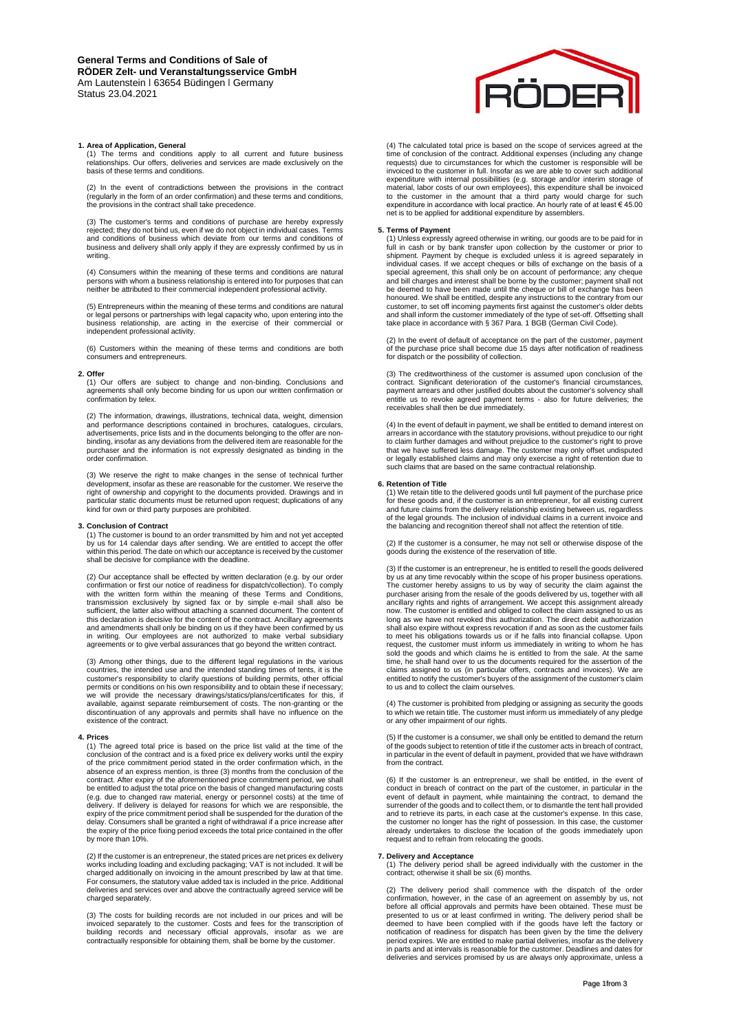## **1. Area of Application, General**

(1) The terms and conditions apply to all current and future business relationships. Our offers, deliveries and services are made exclusively on the basis of these terms and conditions.

(2) In the event of contradictions between the provisions in the contract (regularly in the form of an order confirmation) and these terms and conditions, the provisions in the contract shall take precedence.

(3) The customer's terms and conditions of purchase are hereby expressly rejected; they do not bind us, even if we do not object in individual cases. Terms and conditions of business which deviate from our terms and conditions of business and delivery shall only apply if they are expressly confirmed by us in writing.

(4) Consumers within the meaning of these terms and conditions are natural persons with whom a business relationship is entered into for purposes that can neither be attributed to their commercial independent professional activity.

(5) Entrepreneurs within the meaning of these terms and conditions are natural or legal persons or partnerships with legal capacity who, upon entering into the business relationship, are acting in the exercise of their commercial or independent professional activity.

(6) Customers within the meaning of these terms and conditions are both consumers and entrepreneurs.

## **2. Offer**

(1) Our offers are subject to change and non-binding. Conclusions and agreements shall only become binding for us upon our written confirmation or confirmation by telex.

(2) The information, drawings, illustrations, technical data, weight, dimension and performance descriptions contained in brochures, catalogues, circulars, advertisements, price lists and in the documents belonging to the offer are nonbinding, insofar as any deviations from the delivered item are reasonable for the purchaser and the information is not expressly designated as binding in the order confirmation.

(3) We reserve the right to make changes in the sense of technical further development, insofar as these are reasonable for the customer. We reserve the right of ownership and copyright to the documents provided. Drawings and in particular static documents must be returned upon request; duplications of any kind for own or third party purposes are prohibited.

#### **3. Conclusion of Contract**

(1) The customer is bound to an order transmitted by him and not yet accepted<br>by us for 14 calendar days after sending. We are entitled to accept the offer<br>within this period. The date on which our acceptance is received b shall be decisive for compliance with the deadline.

(2) Our acceptance shall be effected by written declaration (e.g. by our order confirmation or first our notice of readiness for dispatch/collection). To comply with the written form within the meaning of these Terms and Conditions, transmission exclusively by signed fax or by simple e-mail shall also be sufficient, the latter also without attaching a scanned document. The content of this declaration is decisive for the content of the contract. Ancillary agreements and amendments shall only be binding on us if they have been confirmed by us<br>in writing. Our employees are not authorized to make verbal subsidiary<br>agreements or to give verbal assurances that go beyond the writt

(3) Among other things, due to the different legal regulations in the various countries, the intended use and the intended standing times of tents, it is the customer's responsibility to clarify questions of building permi available, against separate reimbursement of costs. The non-granting or the discontinuation of any approvals and permits shall have no influence on the existence of the contract.

#### **4. Prices**

(1) The agreed total price is based on the price list valid at the time of the conclusion of the contract and is a fixed price ex delivery works until the expiry<br>of the price commitment period stated in the order confirmation which, in the<br>absence of an express mention, is three (3) months from the c contract. After expiry of the aforementioned price commitment period, we shall be entitled to adjust the total price on the basis of changed manufacturing costs (e.g. due to changed raw material, energy or personnel costs) at the time of delivery. If delivery is delayed for reasons for which we are responsible, the expiry of the price commitment period shall be suspended for the duration of the delay. Consumers shall be granted a right of withdrawal if a price increase after the expiry of the price fixing period exceeds the total price contained in the offer by or the p<br>more than 10%

(2) If the customer is an entrepreneur, the stated prices are net prices ex delivery works including loading and excluding packaging; VAT is not included. It will be<br>charged additionally on invoicing in the amount prescribed by law at that time.<br>For consumers, the statutory value added tax is included in t deliveries and services over and above the contractually agreed service will be charged separately.

(3) The costs for building records are not included in our prices and will be invoiced separately to the customer. Costs and fees for the transcription of<br>building records and necessary official approvals, insofar as we are<br>contractually responsible for obtaining them, shall be borne by the customer



(4) The calculated total price is based on the scope of services agreed at the the candidate of the contract. Additional expenses (including any change requests) due to circumstances for which the customer is responsible will be invoiced to the customer in full. Insofar as we are able to cover such additional expenditure with internal possibilities (e.g. storage and/or interim storage of material, labor costs of our own employees), this expenditure shall be invoiced to the customer in the amount that a third party would charge for such expenditure in accordance with local practice. An hourly rate of at least € 45.00 net is to be applied for additional expenditure by assemblers.

## **5. Terms of Payment**

(1) Unless expressly agreed otherwise in writing, our goods are to be paid for in<br>full in cash or by bank transfer upon collection by the customer or prior to<br>shipment. Payment by cheque is excluded unless it is agreed sep and bill charges and interest shall be borne by the customer; payment shall not be deemed to have been made until the cheque or bill of exchange has been honoured. We shall be entitled, despite any instructions to the contrary from our<br>customer, to set off incoming payments first against the customer's older debts<br>and shall inform the customer immediately of the type of set take place in accordance with § 367 Para. 1 BGB (German Civil Code).

(2) In the event of default of acceptance on the part of the customer, payment of the purchase price shall become due 15 days after notification of readiness for dispatch or the possibility of collection.

(3) The creditworthiness of the customer is assumed upon conclusion of the contract. Significant deterioration of the customer's financial circumstances, payment arrears and other justified doubts about the customer's solvency shall entitle us to revoke agreed payment terms - also for future deliveries; the receivables shall then be due immediately.

(4) In the event of default in payment, we shall be entitled to demand interest on<br>arrears in accordance with the statutory provisions, without prejudice to our right<br>to claim further damages and without prejudice to the c that we have suffered less damage. The customer may only offset undisputed or legally established claims and may only exercise a right of retention due to such claims that are based on the same contractual relationship.

**6. Retention of Title** (1) We retain title to the delivered goods until full payment of the purchase price for these goods and, if the customer is an entrepreneur, for all existing current and future claims from the delivery relationship existing between us, regardless of the legal grounds. The inclusion of individual claims in a current invoice and the balancing and recognition thereof shall not affect the retention of title.

(2) If the customer is a consumer, he may not sell or otherwise dispose of the goods during the existence of the reservation of title.

(3) If the customer is an entrepreneur, he is entitled to resell the goods delivered<br>by us at any time revocably within the scope of his proper business operations.<br>The customer hereby assigns to us by way of security the purchaser arising from the resale of the goods delivered by us, together with all ancillary rights and rights of arrangement. We accept this assignment already now. The customer is entitled and obliged to collect the claim assigned to us as long as we have not revoked this authorization. The direct debit authorization shall also expire without express revocation if and as soon as the customer fails to meet his obligations towards us or if he falls into financial collapse. Upon request, the customer must inform us immediately in writing to whom he has sold the goods and which claims he is entitled to from the sale. At the same time, he shall hand over to us the documents required for the assertion of the<br>claims assigned to us (in particular offers, contracts and invoices). We are<br>entitled to notify the customer's buyers of the assignment of the to us and to collect the claim ourselves.

(4) The customer is prohibited from pledging or assigning as security the goods to which we retain title. The customer must inform us immediately of any pledge or any other impairment of our rights.

(5) If the customer is a consumer, we shall only be entitled to demand the return of the goods subject to retention of title if the customer acts in breach of contract, in particular in the event of default in payment, provided that we have withdrawn from the contract.

(6) If the customer is an entrepreneur, we shall be entitled, in the event of conduct in breach of contract on the part of the customer, in particular in the event of default in payment, while maintaining the contract, to demand the surrender of the goods and to collect them, or to dismantle the tent hall provided and to retrieve its parts, in each case at the customer's expense. In this case, the customer no longer has the right of possession. In this case, the customer already undertakes to disclose the location of the goods immediately upon request and to refrain from relocating the goods.

## **7. Delivery and Acceptance**

(1) The delivery period shall be agreed individually with the customer in the contract; otherwise it shall be six (6) months.

(2) The delivery period shall commence with the dispatch of the order confirmation, however, in the case of an agreement on assembly by us, not before all official approvals and permits have been obtained. These must be presented to us or at least confirmed in writing. The delivery period sh in parts and at intervals is reasonable for the customer. Deadlines and dates for deliveries and services promised by us are always only approximate, unless a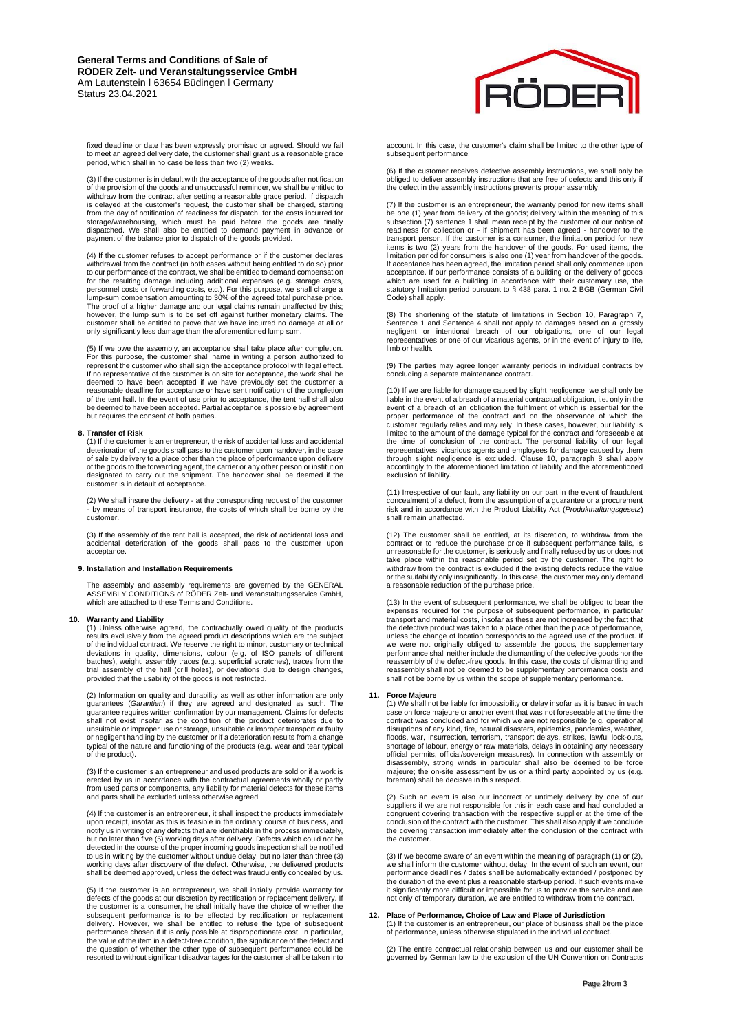# **General Terms and Conditions of Sale of RÖDER Zelt- und Veranstaltungsservice GmbH** Am Lautenstein | 63654 Büdingen | Germany Status 23.04.2021

fixed deadline or date has been expressly promised or agreed. Should we fail to meet an agreed delivery date, the customer shall grant us a reasonable grace period, which shall in no case be less than two (2) weeks.

(3) If the customer is in default with the acceptance of the goods after notification of the provision of the goods and unsuccessful reminder, we shall be entitled to withdraw from the contract after setting a reasonable grace period. If dispatch is delayed at the customer's request, the customer shall be charged, starting from the day of notification of readiness for dispatch, for the costs incurred for storage/warehousing, which must be paid before the goods are finally dispatched. We shall also be entitled to demand payment in advance or payment of the balance prior to dispatch of the goods provided.

(4) If the customer refuses to accept performance or if the customer declares<br>withdrawal from the contract (in both cases without being entitled to do so) prior<br>to our performance of the contract, we shall be entitled to d for the resulting damage including additional expenses (e.g. storage costs, personnel costs or forwarding costs, etc.). For this purpose, we shall charge a lump-sum compensation amounting to 30% of the agreed total purchase price. The proof of a higher damage and our legal claims remain unaffected by this; however, the lump sum is to be set off against further monetary claims. The customer shall be entitled to prove that we have incurred no damage at all or only significantly less damage than the aforementioned lump sum.

(5) If we owe the assembly, an acceptance shall take place after completion. For this purpose, the customer shall name in writing a person authorized to represent the customer who shall sign the acceptance protocol with legal effect. If no representative of the customer is on site for acceptance, the work shall be deemed to have been accepted if we have previously set the customer a reasonable deadline for acceptance or have sent notification of the completion<br>of the tent hall. In the event of use prior to acceptance, the tent hall shall also<br>be deemed to have been accepted. Partial acceptance is poss

# **8. Transfer of Risk**

(1) If the customer is an entrepreneur, the risk of accidental loss and accidental deterioration of the goods shall pass to the customer upon handover, in the case of sale by delivery to a place other than the place of performance upon delivery<br>of the goods to the forwarding agent, the carrier or any other person or institution<br>designated to carry out the shipment. The handover shall customer is in default of acceptance.

(2) We shall insure the delivery - at the corresponding request of the customer - by means of transport insurance, the costs of which shall be borne by the customer.

(3) If the assembly of the tent hall is accepted, the risk of accidental loss and accidental deterioration of the goods shall pass to the customer upon acceptance.

## **9. Installation and Installation Requirements**

The assembly and assembly requirements are governed by the GENERAL<br>ASSEMBLY CONDITIONS of RÖDER Zelt- und Veranstaltungsservice GmbH,<br>which are attached to these Terms and Conditions.

## **10. Warranty and Liability**

(1) Unless otherwise agreed, the contractually owed quality of the products results exclusively from the agreed product descriptions which are the subject of the individual contract. We reserve the right to minor, customary or technical deviations in quality, dimensions, colour (e.g. of ISO panels of different<br>batches), weight, assembly traces (e.g. superficial scratches), traces from the<br>trial assembly of the hall (drill holes), or deviations due to desi

(2) Information on quality and durability as well as other information are only guarantees (*Garantien*) if they are agreed and designated as such. The guarantee requires written confirmation by our management. Claims for defects shall not exist insofar as the condition of the product deteriorates due to unsuitable or improper use or storage, unsuitable or improper transport or faulty or negligent handling by the customer or if a deterioration results from a change typical of the nature and functioning of the products (e.g. wear and tear typical of the product).

(3) If the customer is an entrepreneur and used products are sold or if a work is erected by us in accordance with the contractual agreements wholly or partly from used parts or components, any liability for material defects for these items and parts shall be excluded unless otherwise agreed.

(4) If the customer is an entrepreneur, it shall inspect the products immediately upon receipt, insofar as this is feasible in the ordinary course of business, and notify us in writing of any defects that are identifiable in the process immediately, but no later than five (5) working days after delivery. Defects which could not be detected in the course of the proper incoming goods inspection shall be notified<br>to us in writing by the customer without undue delay, but no later than three (3)<br>working days after discovery of the defect. Otherwise, the shall be deemed approved, unless the defect was fraudulently concealed by us.

(5) If the customer is an entrepreneur, we shall initially provide warranty for defects of the goods at our discretion by rectification or replacement delivery. If<br>the customer is a consumer, he shall initially have the choice of whether the<br>subsequent performance is to be effected by rectification or the question of whether the other type of subsequent performance could be resorted to without significant disadvantages for the customer shall be taken into



account. In this case, the customer's claim shall be limited to the other type of subsequent performance

(6) If the customer receives defective assembly instructions, we shall only be obliged to deliver assembly instructions that are free of defects and this only if the defect in the assembly instructions prevents proper assembly.

(7) If the customer is an entrepreneur, the warranty period for new items shall be one (1) year from delivery of the goods; delivery within the meaning of this subsection (7) sentence 1 shall mean receipt by the customer of our notice of readiness for collection or - if shipment has been agreed - handover to the transport person. If the customer is a consumer, the limitation period for new<br>items is two (2) years from the handover of the goods. For used items, the<br>limitation period for consumers is also one (1) year from handover o which are used for a building in accordance with their customary use, the statutory limitation period pursuant to § 438 para. 1 no. 2 BGB (German Civil Code) shall apply.

(8) The shortening of the statute of limitations in Section 10, Paragraph 7, Sentence 1 and Sentence 4 shall not apply to damages based on a grossly<br>negligent or intentional breach of our obligations, one of our legal<br>representatives or one of our vicarious agents, or in the event of injury to life limb or health.

(9) The parties may agree longer warranty periods in individual contracts by concluding a separate maintenance contract.

(10) If we are liable for damage caused by slight negligence, we shall only be liable in the event of a breach of a material contractual obligation, i.e. only in the event of a breach of an obligation the fulfilment of which is essential for the proper performance of the contract and on the observance of which the customer regularly relies and may rely. In these cases, however, our liability is<br>limited to the amount of the damage typical for the contract and foreseeable at<br>the time of conclusion of the contract. The personal liabili representatives, vicarious agents and employees for damage caused by them through slight negligence is excluded. Clause 10, paragraph 8 shall apply accordingly to the aforementioned limitation of liability and the aforementioned exclusion of liability.

(11) Irrespective of our fault, any liability on our part in the event of fraudulent concealment of a defect, from the assumption of a guarantee or a procurement risk and in accordance with the Product Liability Act (*Produkthaftungsgesetz*) shall remain unaffected.

(12) The customer shall be entitled, at its discretion, to withdraw from the contract or to reduce the purchase price if subsequent performance fails, is unreasonable for the customer, is seriously and finally refused by us or does not take place within the reasonable period set by the customer. The right to withdraw from the contract is excluded if the existing defects reduce the value or the suitability only insignificantly. In this case, the customer may only demand a reasonable reduction of the purchase price.

(13) In the event of subsequent performance, we shall be obliged to bear the expenses required for the purpose of subsequent performance, in particular transport and material costs, insofar as these are not increased by the fact that the defective product was taken to a place other than the place of performance, unless the change of location corresponds to the agreed use of the product. If we were not originally obliged to assemble the goods, the supplementary performance shall neither include the dismantling of the defective goods nor the reassembly of the defect-free goods. In this case, the costs of dismantling and<br>reassembly shall not be deemed to be supplementary performance costs and<br>shall not be borne by us within the scope of supplementary performanc

### **11. Force Majeure**

(1) We shall not be liable for impossibility or delay insofar as it is based in each case on force majeure or another event that was not foreseeable at the time the contract was concluded and for which we are not responsible (e.g. operational disruptions of any kind, fire, natural disasters, epidemics, pandemics, weather, floods, war, insurrection, terrorism, transport delays, strikes, lawful lock-outs, shortage of labour, energy or raw materials, delays in obtaining any necessary official permits, official/sovereign measures). In connection with assembly or<br>disassembly, strong winds in particular shall also be deemed to be force<br>majeure; the on-site assessment by us or a third party appointed by us foreman) shall be decisive in this respect.

(2) Such an event is also our incorrect or untimely delivery by one of our suppliers if we are not responsible for this in each case and had concluded a congruent covering transaction with the respective supplier at the time of the conclusion of the contract with the customer. This shall also apply if we conclude the covering transaction immediately after the conclusion of

(3) If we become aware of an event within the meaning of paragraph (1) or (2), we shall inform the customer without delay. In the event of such an event, our performance deadlines / dates shall be automatically extended / postponed by the duration of the event plus a reasonable start-up period. If such events make it significantly more difficult or impossible for us to provide the service and are not only of temporary duration, we are entitled to withdraw from the contract.

# **12. Place of Performance, Choice of Law and Place of Jurisdiction** (1) If the customer is an entrepreneur, our place of business shall be the place of performance, unless otherwise stipulated in the individual contract.

(2) The entire contractual relationship between us and our customer shall be governed by German law to the exclusion of the UN Convention on Contracts